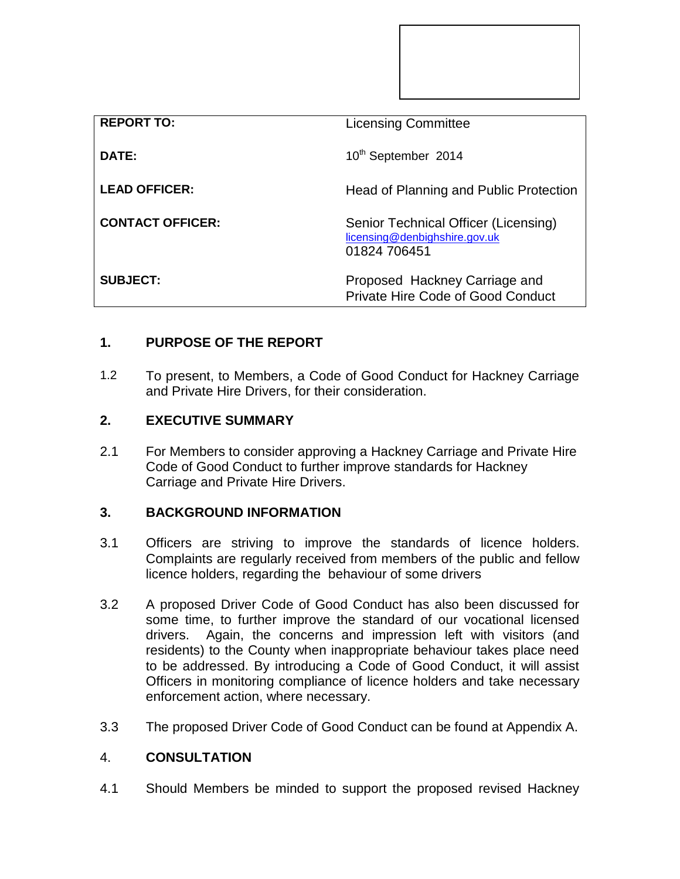| <b>REPORT TO:</b>       | <b>Licensing Committee</b>                                                            |
|-------------------------|---------------------------------------------------------------------------------------|
| DATE:                   | 10 <sup>th</sup> September 2014                                                       |
| <b>LEAD OFFICER:</b>    | Head of Planning and Public Protection                                                |
| <b>CONTACT OFFICER:</b> | Senior Technical Officer (Licensing)<br>licensing@denbighshire.gov.uk<br>01824 706451 |
| <b>SUBJECT:</b>         | Proposed Hackney Carriage and<br>Private Hire Code of Good Conduct                    |

# **1. PURPOSE OF THE REPORT**

1.2 To present, to Members, a Code of Good Conduct for Hackney Carriage and Private Hire Drivers, for their consideration.

## **2. EXECUTIVE SUMMARY**

2.1 For Members to consider approving a Hackney Carriage and Private Hire Code of Good Conduct to further improve standards for Hackney Carriage and Private Hire Drivers.

## **3. BACKGROUND INFORMATION**

- 3.1 Officers are striving to improve the standards of licence holders. Complaints are regularly received from members of the public and fellow licence holders, regarding the behaviour of some drivers
- 3.2 A proposed Driver Code of Good Conduct has also been discussed for some time, to further improve the standard of our vocational licensed drivers. Again, the concerns and impression left with visitors (and residents) to the County when inappropriate behaviour takes place need to be addressed. By introducing a Code of Good Conduct, it will assist Officers in monitoring compliance of licence holders and take necessary enforcement action, where necessary.
- 3.3 The proposed Driver Code of Good Conduct can be found at Appendix A.

#### 4. **CONSULTATION**

4.1 Should Members be minded to support the proposed revised Hackney